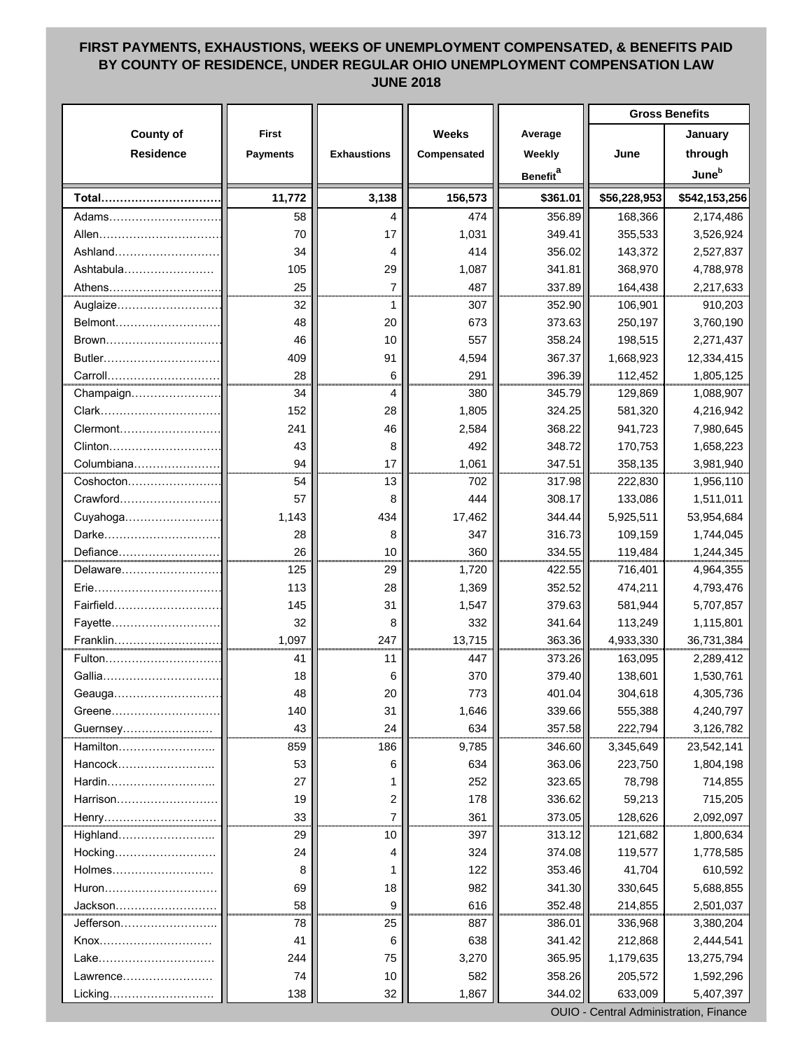## **FIRST PAYMENTS, EXHAUSTIONS, WEEKS OF UNEMPLOYMENT COMPENSATED, & BENEFITS PAID BY COUNTY OF RESIDENCE, UNDER REGULAR OHIO UNEMPLOYMENT COMPENSATION LAW JUNE 2018**

| <b>County of</b><br><b>Weeks</b><br><b>First</b><br>January<br>Average<br><b>Residence</b><br><b>Exhaustions</b><br>Compensated<br>Weekly<br>June<br>through<br><b>Payments</b><br>June <sup>b</sup><br><b>Benefit</b> <sup>a</sup><br>3,138<br>\$361.01<br>11,772<br>156,573<br>\$542,153,256<br>Total<br>\$56,228,953<br>356.89<br>58<br>474<br>168,366<br>2,174,486<br>4<br>Adams<br>349.41<br>Allen<br>1,031<br>355,533<br>70<br>17<br>3,526,924<br>356.02<br>Ashland<br>34<br>414<br>143,372<br>2,527,837<br>4<br>Ashtabula<br>105<br>29<br>341.81<br>368,970<br>1,087<br>4,788,978<br>25<br>$\overline{7}$<br>487<br>337.89<br>164,438<br>2,217,633<br>32<br>352.90<br>106,901<br>910,203<br>Auglaize<br>307<br>1<br>373.63<br>Belmont<br>3,760,190<br>48<br>20<br>673<br>250,197<br>358.24<br>46<br>557<br>198,515<br>2,271,437<br>10<br>Brown<br>Butler<br>367.37<br>409<br>1,668,923<br>91<br>4,594<br>12,334,415<br>28<br>396.39<br>6<br>291<br>112,452<br>1,805,125<br>34<br>Champaign<br>345.79<br>380<br>129,869<br>1,088,907<br>4<br>152<br>1,805<br>324.25<br>28<br>581,320<br>4,216,942<br>241<br>368.22<br>46<br>2,584<br>941,723<br>7,980,645<br>348.72<br>43<br>8<br>492<br>170,753<br>1,658,223<br>Columbiana<br>94<br>347.51<br>17<br>1,061<br>358,135<br>3,981,940<br>54<br>13<br>702<br>317.98<br>222,830<br>1,956,110<br>$Coshocton$<br>308.17<br>133,086<br>1,511,011<br>Crawford<br>57<br>8<br>444<br>434<br>344.44<br>5,925,511<br>1,143<br>17,462<br>53,954,684<br>Darke<br>316.73<br>28<br>8<br>347<br>109,159<br>1,744,045<br>26<br>Defiance<br>360<br>334.55<br>119,484<br>10<br>1,244,345<br>125<br>Delaware<br>29<br>422.55<br>716,401<br>4,964,355<br>1,720<br>352.52<br>113<br>28<br>4,793,476<br>Erie<br>1,369<br>474,211<br>145<br>379.63<br>31<br>1,547<br>581,944<br>5,707,857<br>Fairfield.<br>32<br>8<br>332<br>341.64<br>113,249<br>1,115,801<br>Fayette<br>1,097<br>247<br>13,715<br>363.36<br>4,933,330<br>36,731,384<br>Franklin.<br>Fulton<br>163,095<br>2,289,412<br>41<br>447<br>373.26<br>11<br>379.40<br>Gallia<br>370<br>138,601<br>1,530,761<br>18<br>6<br>48<br>773<br>401.04<br>304,618<br>4,305,736<br>Geauga<br>20<br>339.66<br>555,388<br>4,240,797<br>Greene<br>140<br>31<br>1,646<br>357.58<br>43<br>24<br>634<br>222,794<br>3,126,782<br>Guernsey<br>Hamilton<br>859<br>186<br>346.60<br>9,785<br>3,345,649<br>363.06<br>Hancock<br>634<br>223,750<br>53<br>6<br>323.65<br>Hardin<br>27<br>252<br>78,798 |  |  | <b>Gross Benefits</b> |            |
|----------------------------------------------------------------------------------------------------------------------------------------------------------------------------------------------------------------------------------------------------------------------------------------------------------------------------------------------------------------------------------------------------------------------------------------------------------------------------------------------------------------------------------------------------------------------------------------------------------------------------------------------------------------------------------------------------------------------------------------------------------------------------------------------------------------------------------------------------------------------------------------------------------------------------------------------------------------------------------------------------------------------------------------------------------------------------------------------------------------------------------------------------------------------------------------------------------------------------------------------------------------------------------------------------------------------------------------------------------------------------------------------------------------------------------------------------------------------------------------------------------------------------------------------------------------------------------------------------------------------------------------------------------------------------------------------------------------------------------------------------------------------------------------------------------------------------------------------------------------------------------------------------------------------------------------------------------------------------------------------------------------------------------------------------------------------------------------------------------------------------------------------------------------------------------------------------------------------------------------------------------------------------------------------------------------------------------------------------------------------------------------------------------------------------------------------------------------------|--|--|-----------------------|------------|
|                                                                                                                                                                                                                                                                                                                                                                                                                                                                                                                                                                                                                                                                                                                                                                                                                                                                                                                                                                                                                                                                                                                                                                                                                                                                                                                                                                                                                                                                                                                                                                                                                                                                                                                                                                                                                                                                                                                                                                                                                                                                                                                                                                                                                                                                                                                                                                                                                                                                      |  |  |                       |            |
|                                                                                                                                                                                                                                                                                                                                                                                                                                                                                                                                                                                                                                                                                                                                                                                                                                                                                                                                                                                                                                                                                                                                                                                                                                                                                                                                                                                                                                                                                                                                                                                                                                                                                                                                                                                                                                                                                                                                                                                                                                                                                                                                                                                                                                                                                                                                                                                                                                                                      |  |  |                       |            |
|                                                                                                                                                                                                                                                                                                                                                                                                                                                                                                                                                                                                                                                                                                                                                                                                                                                                                                                                                                                                                                                                                                                                                                                                                                                                                                                                                                                                                                                                                                                                                                                                                                                                                                                                                                                                                                                                                                                                                                                                                                                                                                                                                                                                                                                                                                                                                                                                                                                                      |  |  |                       |            |
|                                                                                                                                                                                                                                                                                                                                                                                                                                                                                                                                                                                                                                                                                                                                                                                                                                                                                                                                                                                                                                                                                                                                                                                                                                                                                                                                                                                                                                                                                                                                                                                                                                                                                                                                                                                                                                                                                                                                                                                                                                                                                                                                                                                                                                                                                                                                                                                                                                                                      |  |  |                       |            |
|                                                                                                                                                                                                                                                                                                                                                                                                                                                                                                                                                                                                                                                                                                                                                                                                                                                                                                                                                                                                                                                                                                                                                                                                                                                                                                                                                                                                                                                                                                                                                                                                                                                                                                                                                                                                                                                                                                                                                                                                                                                                                                                                                                                                                                                                                                                                                                                                                                                                      |  |  |                       |            |
|                                                                                                                                                                                                                                                                                                                                                                                                                                                                                                                                                                                                                                                                                                                                                                                                                                                                                                                                                                                                                                                                                                                                                                                                                                                                                                                                                                                                                                                                                                                                                                                                                                                                                                                                                                                                                                                                                                                                                                                                                                                                                                                                                                                                                                                                                                                                                                                                                                                                      |  |  |                       |            |
|                                                                                                                                                                                                                                                                                                                                                                                                                                                                                                                                                                                                                                                                                                                                                                                                                                                                                                                                                                                                                                                                                                                                                                                                                                                                                                                                                                                                                                                                                                                                                                                                                                                                                                                                                                                                                                                                                                                                                                                                                                                                                                                                                                                                                                                                                                                                                                                                                                                                      |  |  |                       |            |
|                                                                                                                                                                                                                                                                                                                                                                                                                                                                                                                                                                                                                                                                                                                                                                                                                                                                                                                                                                                                                                                                                                                                                                                                                                                                                                                                                                                                                                                                                                                                                                                                                                                                                                                                                                                                                                                                                                                                                                                                                                                                                                                                                                                                                                                                                                                                                                                                                                                                      |  |  |                       |            |
|                                                                                                                                                                                                                                                                                                                                                                                                                                                                                                                                                                                                                                                                                                                                                                                                                                                                                                                                                                                                                                                                                                                                                                                                                                                                                                                                                                                                                                                                                                                                                                                                                                                                                                                                                                                                                                                                                                                                                                                                                                                                                                                                                                                                                                                                                                                                                                                                                                                                      |  |  |                       |            |
|                                                                                                                                                                                                                                                                                                                                                                                                                                                                                                                                                                                                                                                                                                                                                                                                                                                                                                                                                                                                                                                                                                                                                                                                                                                                                                                                                                                                                                                                                                                                                                                                                                                                                                                                                                                                                                                                                                                                                                                                                                                                                                                                                                                                                                                                                                                                                                                                                                                                      |  |  |                       |            |
|                                                                                                                                                                                                                                                                                                                                                                                                                                                                                                                                                                                                                                                                                                                                                                                                                                                                                                                                                                                                                                                                                                                                                                                                                                                                                                                                                                                                                                                                                                                                                                                                                                                                                                                                                                                                                                                                                                                                                                                                                                                                                                                                                                                                                                                                                                                                                                                                                                                                      |  |  |                       |            |
|                                                                                                                                                                                                                                                                                                                                                                                                                                                                                                                                                                                                                                                                                                                                                                                                                                                                                                                                                                                                                                                                                                                                                                                                                                                                                                                                                                                                                                                                                                                                                                                                                                                                                                                                                                                                                                                                                                                                                                                                                                                                                                                                                                                                                                                                                                                                                                                                                                                                      |  |  |                       |            |
|                                                                                                                                                                                                                                                                                                                                                                                                                                                                                                                                                                                                                                                                                                                                                                                                                                                                                                                                                                                                                                                                                                                                                                                                                                                                                                                                                                                                                                                                                                                                                                                                                                                                                                                                                                                                                                                                                                                                                                                                                                                                                                                                                                                                                                                                                                                                                                                                                                                                      |  |  |                       |            |
|                                                                                                                                                                                                                                                                                                                                                                                                                                                                                                                                                                                                                                                                                                                                                                                                                                                                                                                                                                                                                                                                                                                                                                                                                                                                                                                                                                                                                                                                                                                                                                                                                                                                                                                                                                                                                                                                                                                                                                                                                                                                                                                                                                                                                                                                                                                                                                                                                                                                      |  |  |                       |            |
|                                                                                                                                                                                                                                                                                                                                                                                                                                                                                                                                                                                                                                                                                                                                                                                                                                                                                                                                                                                                                                                                                                                                                                                                                                                                                                                                                                                                                                                                                                                                                                                                                                                                                                                                                                                                                                                                                                                                                                                                                                                                                                                                                                                                                                                                                                                                                                                                                                                                      |  |  |                       |            |
|                                                                                                                                                                                                                                                                                                                                                                                                                                                                                                                                                                                                                                                                                                                                                                                                                                                                                                                                                                                                                                                                                                                                                                                                                                                                                                                                                                                                                                                                                                                                                                                                                                                                                                                                                                                                                                                                                                                                                                                                                                                                                                                                                                                                                                                                                                                                                                                                                                                                      |  |  |                       |            |
|                                                                                                                                                                                                                                                                                                                                                                                                                                                                                                                                                                                                                                                                                                                                                                                                                                                                                                                                                                                                                                                                                                                                                                                                                                                                                                                                                                                                                                                                                                                                                                                                                                                                                                                                                                                                                                                                                                                                                                                                                                                                                                                                                                                                                                                                                                                                                                                                                                                                      |  |  |                       |            |
|                                                                                                                                                                                                                                                                                                                                                                                                                                                                                                                                                                                                                                                                                                                                                                                                                                                                                                                                                                                                                                                                                                                                                                                                                                                                                                                                                                                                                                                                                                                                                                                                                                                                                                                                                                                                                                                                                                                                                                                                                                                                                                                                                                                                                                                                                                                                                                                                                                                                      |  |  |                       |            |
|                                                                                                                                                                                                                                                                                                                                                                                                                                                                                                                                                                                                                                                                                                                                                                                                                                                                                                                                                                                                                                                                                                                                                                                                                                                                                                                                                                                                                                                                                                                                                                                                                                                                                                                                                                                                                                                                                                                                                                                                                                                                                                                                                                                                                                                                                                                                                                                                                                                                      |  |  |                       |            |
|                                                                                                                                                                                                                                                                                                                                                                                                                                                                                                                                                                                                                                                                                                                                                                                                                                                                                                                                                                                                                                                                                                                                                                                                                                                                                                                                                                                                                                                                                                                                                                                                                                                                                                                                                                                                                                                                                                                                                                                                                                                                                                                                                                                                                                                                                                                                                                                                                                                                      |  |  |                       |            |
|                                                                                                                                                                                                                                                                                                                                                                                                                                                                                                                                                                                                                                                                                                                                                                                                                                                                                                                                                                                                                                                                                                                                                                                                                                                                                                                                                                                                                                                                                                                                                                                                                                                                                                                                                                                                                                                                                                                                                                                                                                                                                                                                                                                                                                                                                                                                                                                                                                                                      |  |  |                       |            |
|                                                                                                                                                                                                                                                                                                                                                                                                                                                                                                                                                                                                                                                                                                                                                                                                                                                                                                                                                                                                                                                                                                                                                                                                                                                                                                                                                                                                                                                                                                                                                                                                                                                                                                                                                                                                                                                                                                                                                                                                                                                                                                                                                                                                                                                                                                                                                                                                                                                                      |  |  |                       |            |
|                                                                                                                                                                                                                                                                                                                                                                                                                                                                                                                                                                                                                                                                                                                                                                                                                                                                                                                                                                                                                                                                                                                                                                                                                                                                                                                                                                                                                                                                                                                                                                                                                                                                                                                                                                                                                                                                                                                                                                                                                                                                                                                                                                                                                                                                                                                                                                                                                                                                      |  |  |                       |            |
|                                                                                                                                                                                                                                                                                                                                                                                                                                                                                                                                                                                                                                                                                                                                                                                                                                                                                                                                                                                                                                                                                                                                                                                                                                                                                                                                                                                                                                                                                                                                                                                                                                                                                                                                                                                                                                                                                                                                                                                                                                                                                                                                                                                                                                                                                                                                                                                                                                                                      |  |  |                       |            |
|                                                                                                                                                                                                                                                                                                                                                                                                                                                                                                                                                                                                                                                                                                                                                                                                                                                                                                                                                                                                                                                                                                                                                                                                                                                                                                                                                                                                                                                                                                                                                                                                                                                                                                                                                                                                                                                                                                                                                                                                                                                                                                                                                                                                                                                                                                                                                                                                                                                                      |  |  |                       |            |
|                                                                                                                                                                                                                                                                                                                                                                                                                                                                                                                                                                                                                                                                                                                                                                                                                                                                                                                                                                                                                                                                                                                                                                                                                                                                                                                                                                                                                                                                                                                                                                                                                                                                                                                                                                                                                                                                                                                                                                                                                                                                                                                                                                                                                                                                                                                                                                                                                                                                      |  |  |                       |            |
|                                                                                                                                                                                                                                                                                                                                                                                                                                                                                                                                                                                                                                                                                                                                                                                                                                                                                                                                                                                                                                                                                                                                                                                                                                                                                                                                                                                                                                                                                                                                                                                                                                                                                                                                                                                                                                                                                                                                                                                                                                                                                                                                                                                                                                                                                                                                                                                                                                                                      |  |  |                       |            |
|                                                                                                                                                                                                                                                                                                                                                                                                                                                                                                                                                                                                                                                                                                                                                                                                                                                                                                                                                                                                                                                                                                                                                                                                                                                                                                                                                                                                                                                                                                                                                                                                                                                                                                                                                                                                                                                                                                                                                                                                                                                                                                                                                                                                                                                                                                                                                                                                                                                                      |  |  |                       |            |
|                                                                                                                                                                                                                                                                                                                                                                                                                                                                                                                                                                                                                                                                                                                                                                                                                                                                                                                                                                                                                                                                                                                                                                                                                                                                                                                                                                                                                                                                                                                                                                                                                                                                                                                                                                                                                                                                                                                                                                                                                                                                                                                                                                                                                                                                                                                                                                                                                                                                      |  |  |                       |            |
|                                                                                                                                                                                                                                                                                                                                                                                                                                                                                                                                                                                                                                                                                                                                                                                                                                                                                                                                                                                                                                                                                                                                                                                                                                                                                                                                                                                                                                                                                                                                                                                                                                                                                                                                                                                                                                                                                                                                                                                                                                                                                                                                                                                                                                                                                                                                                                                                                                                                      |  |  |                       |            |
|                                                                                                                                                                                                                                                                                                                                                                                                                                                                                                                                                                                                                                                                                                                                                                                                                                                                                                                                                                                                                                                                                                                                                                                                                                                                                                                                                                                                                                                                                                                                                                                                                                                                                                                                                                                                                                                                                                                                                                                                                                                                                                                                                                                                                                                                                                                                                                                                                                                                      |  |  |                       |            |
|                                                                                                                                                                                                                                                                                                                                                                                                                                                                                                                                                                                                                                                                                                                                                                                                                                                                                                                                                                                                                                                                                                                                                                                                                                                                                                                                                                                                                                                                                                                                                                                                                                                                                                                                                                                                                                                                                                                                                                                                                                                                                                                                                                                                                                                                                                                                                                                                                                                                      |  |  |                       |            |
|                                                                                                                                                                                                                                                                                                                                                                                                                                                                                                                                                                                                                                                                                                                                                                                                                                                                                                                                                                                                                                                                                                                                                                                                                                                                                                                                                                                                                                                                                                                                                                                                                                                                                                                                                                                                                                                                                                                                                                                                                                                                                                                                                                                                                                                                                                                                                                                                                                                                      |  |  |                       |            |
|                                                                                                                                                                                                                                                                                                                                                                                                                                                                                                                                                                                                                                                                                                                                                                                                                                                                                                                                                                                                                                                                                                                                                                                                                                                                                                                                                                                                                                                                                                                                                                                                                                                                                                                                                                                                                                                                                                                                                                                                                                                                                                                                                                                                                                                                                                                                                                                                                                                                      |  |  |                       |            |
|                                                                                                                                                                                                                                                                                                                                                                                                                                                                                                                                                                                                                                                                                                                                                                                                                                                                                                                                                                                                                                                                                                                                                                                                                                                                                                                                                                                                                                                                                                                                                                                                                                                                                                                                                                                                                                                                                                                                                                                                                                                                                                                                                                                                                                                                                                                                                                                                                                                                      |  |  |                       | 23,542,141 |
|                                                                                                                                                                                                                                                                                                                                                                                                                                                                                                                                                                                                                                                                                                                                                                                                                                                                                                                                                                                                                                                                                                                                                                                                                                                                                                                                                                                                                                                                                                                                                                                                                                                                                                                                                                                                                                                                                                                                                                                                                                                                                                                                                                                                                                                                                                                                                                                                                                                                      |  |  |                       | 1,804,198  |
|                                                                                                                                                                                                                                                                                                                                                                                                                                                                                                                                                                                                                                                                                                                                                                                                                                                                                                                                                                                                                                                                                                                                                                                                                                                                                                                                                                                                                                                                                                                                                                                                                                                                                                                                                                                                                                                                                                                                                                                                                                                                                                                                                                                                                                                                                                                                                                                                                                                                      |  |  |                       | 714,855    |
| 336.62<br>59,213<br>Harrison<br>19<br>2<br>178                                                                                                                                                                                                                                                                                                                                                                                                                                                                                                                                                                                                                                                                                                                                                                                                                                                                                                                                                                                                                                                                                                                                                                                                                                                                                                                                                                                                                                                                                                                                                                                                                                                                                                                                                                                                                                                                                                                                                                                                                                                                                                                                                                                                                                                                                                                                                                                                                       |  |  |                       | 715,205    |
| 33<br>7<br>361<br>373.05<br>128,626                                                                                                                                                                                                                                                                                                                                                                                                                                                                                                                                                                                                                                                                                                                                                                                                                                                                                                                                                                                                                                                                                                                                                                                                                                                                                                                                                                                                                                                                                                                                                                                                                                                                                                                                                                                                                                                                                                                                                                                                                                                                                                                                                                                                                                                                                                                                                                                                                                  |  |  |                       | 2,092,097  |
| Highland<br>29<br>397<br>313.12<br>121,682<br>10                                                                                                                                                                                                                                                                                                                                                                                                                                                                                                                                                                                                                                                                                                                                                                                                                                                                                                                                                                                                                                                                                                                                                                                                                                                                                                                                                                                                                                                                                                                                                                                                                                                                                                                                                                                                                                                                                                                                                                                                                                                                                                                                                                                                                                                                                                                                                                                                                     |  |  |                       | 1,800,634  |
| 374.08<br>324<br>119,577<br>Hocking<br>24<br>4                                                                                                                                                                                                                                                                                                                                                                                                                                                                                                                                                                                                                                                                                                                                                                                                                                                                                                                                                                                                                                                                                                                                                                                                                                                                                                                                                                                                                                                                                                                                                                                                                                                                                                                                                                                                                                                                                                                                                                                                                                                                                                                                                                                                                                                                                                                                                                                                                       |  |  |                       | 1,778,585  |
| 353.46<br>Holmes<br>122<br>41,704<br>8                                                                                                                                                                                                                                                                                                                                                                                                                                                                                                                                                                                                                                                                                                                                                                                                                                                                                                                                                                                                                                                                                                                                                                                                                                                                                                                                                                                                                                                                                                                                                                                                                                                                                                                                                                                                                                                                                                                                                                                                                                                                                                                                                                                                                                                                                                                                                                                                                               |  |  |                       | 610,592    |
| 341.30<br>69<br>18<br>982<br>330,645<br>Huron                                                                                                                                                                                                                                                                                                                                                                                                                                                                                                                                                                                                                                                                                                                                                                                                                                                                                                                                                                                                                                                                                                                                                                                                                                                                                                                                                                                                                                                                                                                                                                                                                                                                                                                                                                                                                                                                                                                                                                                                                                                                                                                                                                                                                                                                                                                                                                                                                        |  |  |                       | 5,688,855  |
| 352.48<br>58<br>214,855<br>9<br>616<br>Jackson                                                                                                                                                                                                                                                                                                                                                                                                                                                                                                                                                                                                                                                                                                                                                                                                                                                                                                                                                                                                                                                                                                                                                                                                                                                                                                                                                                                                                                                                                                                                                                                                                                                                                                                                                                                                                                                                                                                                                                                                                                                                                                                                                                                                                                                                                                                                                                                                                       |  |  |                       | 2,501,037  |
| Jefferson<br>386.01<br>78<br>25<br>887<br>336,968                                                                                                                                                                                                                                                                                                                                                                                                                                                                                                                                                                                                                                                                                                                                                                                                                                                                                                                                                                                                                                                                                                                                                                                                                                                                                                                                                                                                                                                                                                                                                                                                                                                                                                                                                                                                                                                                                                                                                                                                                                                                                                                                                                                                                                                                                                                                                                                                                    |  |  |                       | 3,380,204  |
| 341.42<br>212,868<br>Knox<br>6<br>638<br>41                                                                                                                                                                                                                                                                                                                                                                                                                                                                                                                                                                                                                                                                                                                                                                                                                                                                                                                                                                                                                                                                                                                                                                                                                                                                                                                                                                                                                                                                                                                                                                                                                                                                                                                                                                                                                                                                                                                                                                                                                                                                                                                                                                                                                                                                                                                                                                                                                          |  |  |                       | 2,444,541  |
| Lake<br>244<br>365.95<br>1,179,635<br>75<br>3,270                                                                                                                                                                                                                                                                                                                                                                                                                                                                                                                                                                                                                                                                                                                                                                                                                                                                                                                                                                                                                                                                                                                                                                                                                                                                                                                                                                                                                                                                                                                                                                                                                                                                                                                                                                                                                                                                                                                                                                                                                                                                                                                                                                                                                                                                                                                                                                                                                    |  |  |                       | 13,275,794 |
| 582<br>358.26<br>Lawrence<br>74<br>10<br>205,572                                                                                                                                                                                                                                                                                                                                                                                                                                                                                                                                                                                                                                                                                                                                                                                                                                                                                                                                                                                                                                                                                                                                                                                                                                                                                                                                                                                                                                                                                                                                                                                                                                                                                                                                                                                                                                                                                                                                                                                                                                                                                                                                                                                                                                                                                                                                                                                                                     |  |  |                       | 1,592,296  |
| 344.02<br>Licking<br>138<br>32<br>1,867<br>633,009                                                                                                                                                                                                                                                                                                                                                                                                                                                                                                                                                                                                                                                                                                                                                                                                                                                                                                                                                                                                                                                                                                                                                                                                                                                                                                                                                                                                                                                                                                                                                                                                                                                                                                                                                                                                                                                                                                                                                                                                                                                                                                                                                                                                                                                                                                                                                                                                                   |  |  |                       | 5,407,397  |

OUIO - Central Administration, Finance